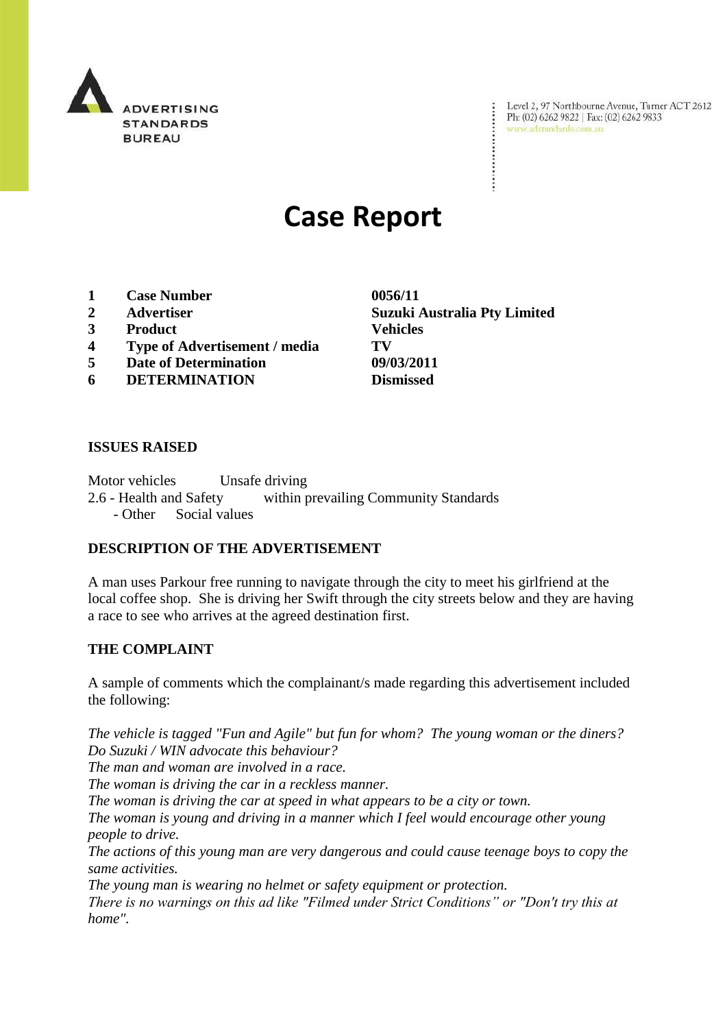

Level 2, 97 Northbourne Avenue, Turner ACT 2612<br>Ph: (02) 6262 9822 | Fax: (02) 6262 9833<br>www.adstandards.com.au

# **Case Report**

- **1 Case Number 0056/11**
- 
- **3 Product Vehicles**
- **4 Type of Advertisement / media TV**
- **5 Date of Determination 09/03/2011**
- **6 DETERMINATION Dismissed**

**ISSUES RAISED**

Motor vehicles Unsafe driving 2.6 - Health and Safety within prevailing Community Standards - Other Social values

#### **DESCRIPTION OF THE ADVERTISEMENT**

A man uses Parkour free running to navigate through the city to meet his girlfriend at the local coffee shop. She is driving her Swift through the city streets below and they are having a race to see who arrives at the agreed destination first.

#### **THE COMPLAINT**

A sample of comments which the complainant/s made regarding this advertisement included the following:

*The vehicle is tagged "Fun and Agile" but fun for whom? The young woman or the diners? Do Suzuki / WIN advocate this behaviour?* 

*The man and woman are involved in a race.*

*The woman is driving the car in a reckless manner.*

*The woman is driving the car at speed in what appears to be a city or town.*

*The woman is young and driving in a manner which I feel would encourage other young people to drive.*

*The actions of this young man are very dangerous and could cause teenage boys to copy the same activities.*

*The young man is wearing no helmet or safety equipment or protection.*

*There is no warnings on this ad like "Filmed under Strict Conditions" or "Don't try this at home".*

**2 Advertiser Suzuki Australia Pty Limited**

÷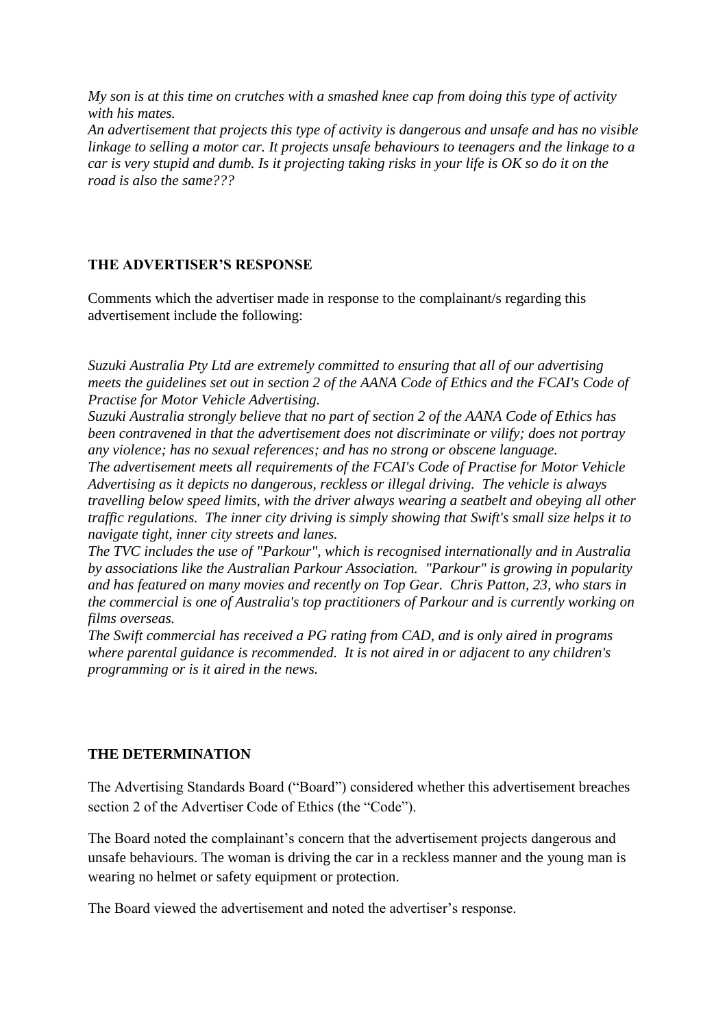*My son is at this time on crutches with a smashed knee cap from doing this type of activity with his mates. An advertisement that projects this type of activity is dangerous and unsafe and has no visible linkage to selling a motor car. It projects unsafe behaviours to teenagers and the linkage to a car is very stupid and dumb. Is it projecting taking risks in your life is OK so do it on the* 

*road is also the same???*

## **THE ADVERTISER'S RESPONSE**

Comments which the advertiser made in response to the complainant/s regarding this advertisement include the following:

*Suzuki Australia Pty Ltd are extremely committed to ensuring that all of our advertising meets the guidelines set out in section 2 of the AANA Code of Ethics and the FCAI's Code of Practise for Motor Vehicle Advertising.*

*Suzuki Australia strongly believe that no part of section 2 of the AANA Code of Ethics has been contravened in that the advertisement does not discriminate or vilify; does not portray any violence; has no sexual references; and has no strong or obscene language.*

*The advertisement meets all requirements of the FCAI's Code of Practise for Motor Vehicle Advertising as it depicts no dangerous, reckless or illegal driving. The vehicle is always travelling below speed limits, with the driver always wearing a seatbelt and obeying all other traffic regulations. The inner city driving is simply showing that Swift's small size helps it to navigate tight, inner city streets and lanes.*

*The TVC includes the use of "Parkour", which is recognised internationally and in Australia by associations like the Australian Parkour Association. "Parkour" is growing in popularity and has featured on many movies and recently on Top Gear. Chris Patton, 23, who stars in the commercial is one of Australia's top practitioners of Parkour and is currently working on films overseas.*

*The Swift commercial has received a PG rating from CAD, and is only aired in programs where parental guidance is recommended. It is not aired in or adjacent to any children's programming or is it aired in the news.*

### **THE DETERMINATION**

The Advertising Standards Board ("Board") considered whether this advertisement breaches section 2 of the Advertiser Code of Ethics (the "Code").

The Board noted the complainant's concern that the advertisement projects dangerous and unsafe behaviours. The woman is driving the car in a reckless manner and the young man is wearing no helmet or safety equipment or protection.

The Board viewed the advertisement and noted the advertiser"s response.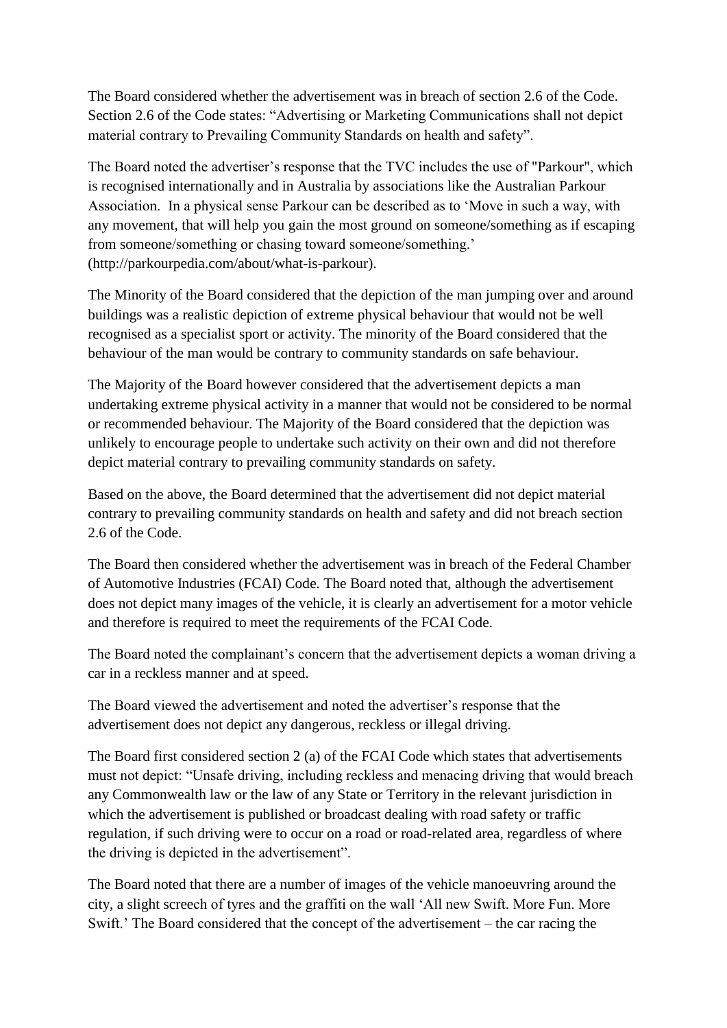The Board considered whether the advertisement was in breach of section 2.6 of the Code. Section 2.6 of the Code states: "Advertising or Marketing Communications shall not depict material contrary to Prevailing Community Standards on health and safety".

The Board noted the advertiser's response that the TVC includes the use of "Parkour", which is recognised internationally and in Australia by associations like the Australian Parkour Association. In a physical sense Parkour can be described as to "Move in such a way, with any movement, that will help you gain the most ground on someone/something as if escaping from someone/something or chasing toward someone/something." (http://parkourpedia.com/about/what-is-parkour).

The Minority of the Board considered that the depiction of the man jumping over and around buildings was a realistic depiction of extreme physical behaviour that would not be well recognised as a specialist sport or activity. The minority of the Board considered that the behaviour of the man would be contrary to community standards on safe behaviour.

The Majority of the Board however considered that the advertisement depicts a man undertaking extreme physical activity in a manner that would not be considered to be normal or recommended behaviour. The Majority of the Board considered that the depiction was unlikely to encourage people to undertake such activity on their own and did not therefore depict material contrary to prevailing community standards on safety.

Based on the above, the Board determined that the advertisement did not depict material contrary to prevailing community standards on health and safety and did not breach section 2.6 of the Code.

The Board then considered whether the advertisement was in breach of the Federal Chamber of Automotive Industries (FCAI) Code. The Board noted that, although the advertisement does not depict many images of the vehicle, it is clearly an advertisement for a motor vehicle and therefore is required to meet the requirements of the FCAI Code.

The Board noted the complainant's concern that the advertisement depicts a woman driving a car in a reckless manner and at speed.

The Board viewed the advertisement and noted the advertiser"s response that the advertisement does not depict any dangerous, reckless or illegal driving.

The Board first considered section 2 (a) of the FCAI Code which states that advertisements must not depict: "Unsafe driving, including reckless and menacing driving that would breach any Commonwealth law or the law of any State or Territory in the relevant jurisdiction in which the advertisement is published or broadcast dealing with road safety or traffic regulation, if such driving were to occur on a road or road-related area, regardless of where the driving is depicted in the advertisement".

The Board noted that there are a number of images of the vehicle manoeuvring around the city, a slight screech of tyres and the graffiti on the wall "All new Swift. More Fun. More Swift." The Board considered that the concept of the advertisement – the car racing the